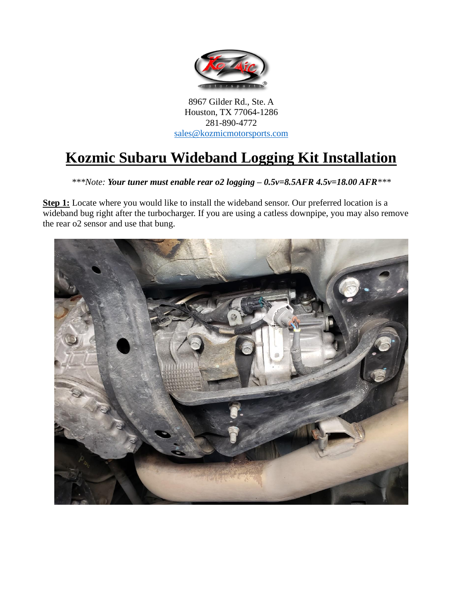

8967 Gilder Rd., Ste. A Houston, TX 77064-1286 281-890-4772 [sales@kozmicmotorsports.com](mailto:sales@kozmicmotorsports.com)

## **Kozmic Subaru Wideband Logging Kit Installation**

*\*\*\*Note: Your tuner must enable rear o2 logging – 0.5v=8.5AFR 4.5v=18.00 AFR\*\*\**

**Step 1:** Locate where you would like to install the wideband sensor. Our preferred location is a wideband bug right after the turbocharger. If you are using a catless downpipe, you may also remove the rear o2 sensor and use that bung.

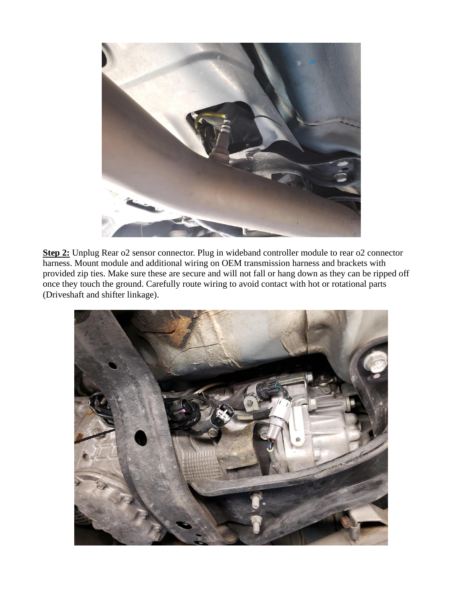

**Step 2:** Unplug Rear o2 sensor connector. Plug in wideband controller module to rear o2 connector harness. Mount module and additional wiring on OEM transmission harness and brackets with provided zip ties. Make sure these are secure and will not fall or hang down as they can be ripped off once they touch the ground. Carefully route wiring to avoid contact with hot or rotational parts (Driveshaft and shifter linkage).